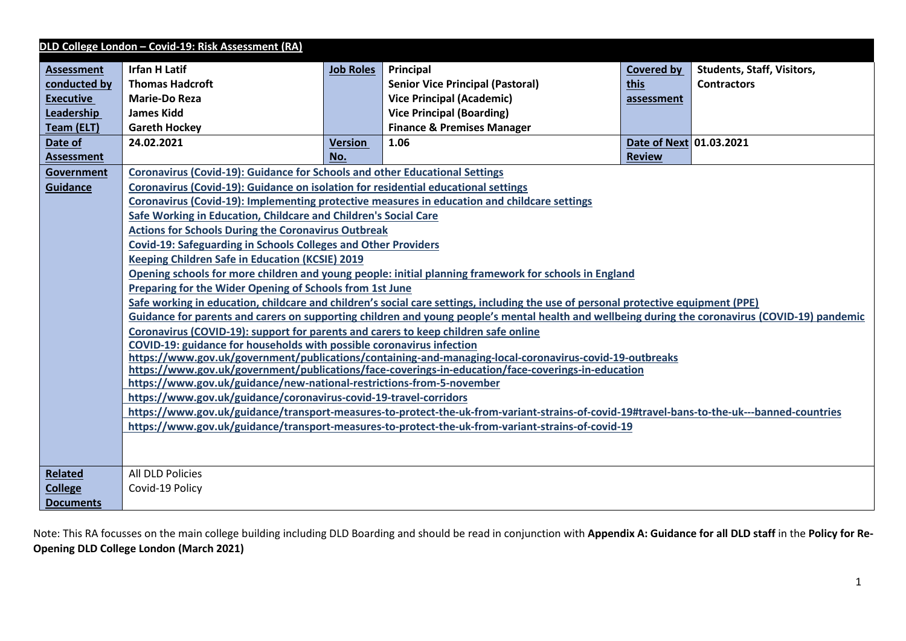|                   | DLD College London - Covid-19: Risk Assessment (RA)                                                                                                          |                  |                                                                                                                                                  |                         |                                   |  |
|-------------------|--------------------------------------------------------------------------------------------------------------------------------------------------------------|------------------|--------------------------------------------------------------------------------------------------------------------------------------------------|-------------------------|-----------------------------------|--|
| <b>Assessment</b> | <b>Irfan H Latif</b>                                                                                                                                         | <b>Job Roles</b> | Principal                                                                                                                                        | Covered by              | <b>Students, Staff, Visitors,</b> |  |
| conducted by      | <b>Thomas Hadcroft</b>                                                                                                                                       |                  | <b>Senior Vice Principal (Pastoral)</b>                                                                                                          | <b>this</b>             | <b>Contractors</b>                |  |
| <b>Executive</b>  | <b>Marie-Do Reza</b>                                                                                                                                         |                  | <b>Vice Principal (Academic)</b>                                                                                                                 | assessment              |                                   |  |
| Leadership        | <b>James Kidd</b>                                                                                                                                            |                  | <b>Vice Principal (Boarding)</b>                                                                                                                 |                         |                                   |  |
| Team (ELT)        | <b>Gareth Hockey</b>                                                                                                                                         |                  | <b>Finance &amp; Premises Manager</b>                                                                                                            |                         |                                   |  |
| Date of           | 24.02.2021                                                                                                                                                   | <b>Version</b>   | 1.06                                                                                                                                             | Date of Next 01.03.2021 |                                   |  |
| <b>Assessment</b> |                                                                                                                                                              | No.              |                                                                                                                                                  | <b>Review</b>           |                                   |  |
| Government        | <b>Coronavirus (Covid-19): Guidance for Schools and other Educational Settings</b>                                                                           |                  |                                                                                                                                                  |                         |                                   |  |
| <b>Guidance</b>   | Coronavirus (Covid-19): Guidance on isolation for residential educational settings                                                                           |                  |                                                                                                                                                  |                         |                                   |  |
|                   |                                                                                                                                                              |                  | Coronavirus (Covid-19): Implementing protective measures in education and childcare settings                                                     |                         |                                   |  |
|                   | Safe Working in Education, Childcare and Children's Social Care                                                                                              |                  |                                                                                                                                                  |                         |                                   |  |
|                   | <b>Actions for Schools During the Coronavirus Outbreak</b>                                                                                                   |                  |                                                                                                                                                  |                         |                                   |  |
|                   | <b>Covid-19: Safeguarding in Schools Colleges and Other Providers</b>                                                                                        |                  |                                                                                                                                                  |                         |                                   |  |
|                   | <b>Keeping Children Safe in Education (KCSIE) 2019</b>                                                                                                       |                  |                                                                                                                                                  |                         |                                   |  |
|                   |                                                                                                                                                              |                  | Opening schools for more children and young people: initial planning framework for schools in England                                            |                         |                                   |  |
|                   | Preparing for the Wider Opening of Schools from 1st June                                                                                                     |                  |                                                                                                                                                  |                         |                                   |  |
|                   |                                                                                                                                                              |                  | Safe working in education, childcare and children's social care settings, including the use of personal protective equipment (PPE)               |                         |                                   |  |
|                   |                                                                                                                                                              |                  | Guidance for parents and carers on supporting children and young people's mental health and wellbeing during the coronavirus (COVID-19) pandemic |                         |                                   |  |
|                   | Coronavirus (COVID-19): support for parents and carers to keep children safe online<br>COVID-19: guidance for households with possible coronavirus infection |                  |                                                                                                                                                  |                         |                                   |  |
|                   |                                                                                                                                                              |                  | https://www.gov.uk/government/publications/containing-and-managing-local-coronavirus-covid-19-outbreaks                                          |                         |                                   |  |
|                   |                                                                                                                                                              |                  | https://www.gov.uk/government/publications/face-coverings-in-education/face-coverings-in-education                                               |                         |                                   |  |
|                   | https://www.gov.uk/guidance/new-national-restrictions-from-5-november                                                                                        |                  |                                                                                                                                                  |                         |                                   |  |
|                   | https://www.gov.uk/guidance/coronavirus-covid-19-travel-corridors                                                                                            |                  |                                                                                                                                                  |                         |                                   |  |
|                   |                                                                                                                                                              |                  | https://www.gov.uk/guidance/transport-measures-to-protect-the-uk-from-variant-strains-of-covid-19#travel-bans-to-the-uk---banned-countries       |                         |                                   |  |
|                   |                                                                                                                                                              |                  | https://www.gov.uk/guidance/transport-measures-to-protect-the-uk-from-variant-strains-of-covid-19                                                |                         |                                   |  |
|                   |                                                                                                                                                              |                  |                                                                                                                                                  |                         |                                   |  |
|                   |                                                                                                                                                              |                  |                                                                                                                                                  |                         |                                   |  |
| <b>Related</b>    | All DLD Policies                                                                                                                                             |                  |                                                                                                                                                  |                         |                                   |  |
| <b>College</b>    | Covid-19 Policy                                                                                                                                              |                  |                                                                                                                                                  |                         |                                   |  |
| <b>Documents</b>  |                                                                                                                                                              |                  |                                                                                                                                                  |                         |                                   |  |

Note: This RA focusses on the main college building including DLD Boarding and should be read in conjunction with **Appendix A: Guidance for all DLD staff** in the **Policy for Re-Opening DLD College London (March 2021)**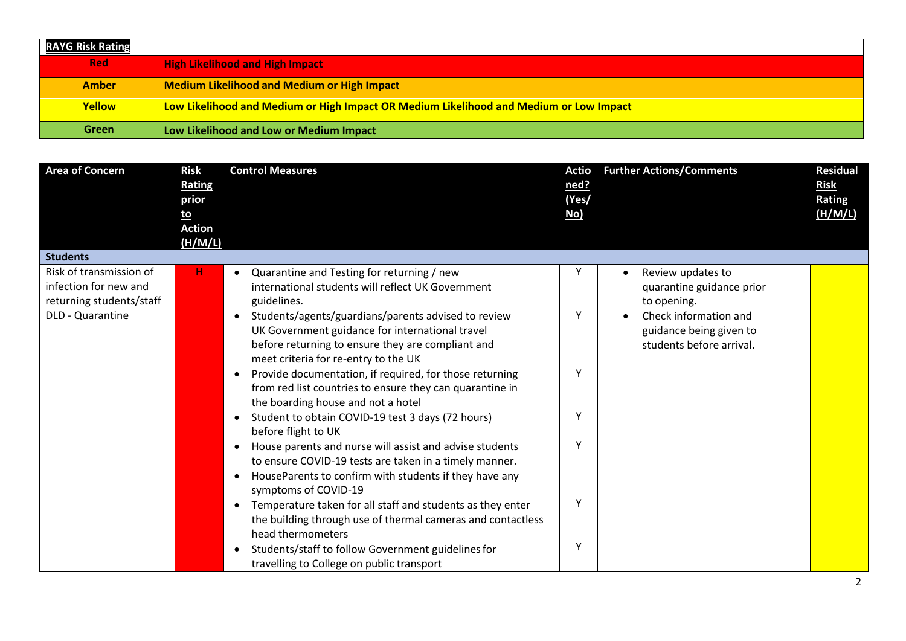| <b>RAYG Risk Rating</b> |                                                                                        |
|-------------------------|----------------------------------------------------------------------------------------|
| <b>Red</b>              | <b>High Likelihood and High Impact</b>                                                 |
| <b>Amber</b>            | <b>Medium Likelihood and Medium or High Impact</b>                                     |
| <b>Yellow</b>           | Low Likelihood and Medium or High Impact OR Medium Likelihood and Medium or Low Impact |
| <b>Green</b>            | Low Likelihood and Low or Medium Impact                                                |

| <b>Area of Concern</b>                                                       | <b>Risk</b><br>Rating<br>prior<br><u>to</u><br><b>Action</b> | <b>Control Measures</b>                                                                                                                                                                             | <u>Actio</u><br>ned?<br>(Yes/<br>No) | <b>Further Actions/Comments</b>                                              | Residual<br><b>Risk</b><br><b>Rating</b><br>(H/M/L) |
|------------------------------------------------------------------------------|--------------------------------------------------------------|-----------------------------------------------------------------------------------------------------------------------------------------------------------------------------------------------------|--------------------------------------|------------------------------------------------------------------------------|-----------------------------------------------------|
|                                                                              | (H/M/L)                                                      |                                                                                                                                                                                                     |                                      |                                                                              |                                                     |
| <b>Students</b>                                                              |                                                              |                                                                                                                                                                                                     |                                      |                                                                              |                                                     |
| Risk of transmission of<br>infection for new and<br>returning students/staff | н                                                            | Quarantine and Testing for returning / new<br>$\bullet$<br>international students will reflect UK Government<br>guidelines.                                                                         |                                      | Review updates to<br>quarantine guidance prior<br>to opening.                |                                                     |
| DLD - Quarantine                                                             |                                                              | Students/agents/guardians/parents advised to review<br>UK Government guidance for international travel<br>before returning to ensure they are compliant and<br>meet criteria for re-entry to the UK | Y                                    | Check information and<br>guidance being given to<br>students before arrival. |                                                     |
|                                                                              |                                                              | Provide documentation, if required, for those returning<br>$\bullet$<br>from red list countries to ensure they can quarantine in<br>the boarding house and not a hotel                              | Υ                                    |                                                                              |                                                     |
|                                                                              |                                                              | Student to obtain COVID-19 test 3 days (72 hours)<br>$\bullet$<br>before flight to UK                                                                                                               |                                      |                                                                              |                                                     |
|                                                                              |                                                              | House parents and nurse will assist and advise students<br>to ensure COVID-19 tests are taken in a timely manner.<br>HouseParents to confirm with students if they have any<br>symptoms of COVID-19 | ٧                                    |                                                                              |                                                     |
|                                                                              |                                                              | Temperature taken for all staff and students as they enter<br>$\bullet$<br>the building through use of thermal cameras and contactless                                                              | Υ                                    |                                                                              |                                                     |
|                                                                              |                                                              | head thermometers<br>Students/staff to follow Government guidelines for<br>$\bullet$<br>travelling to College on public transport                                                                   | Y                                    |                                                                              |                                                     |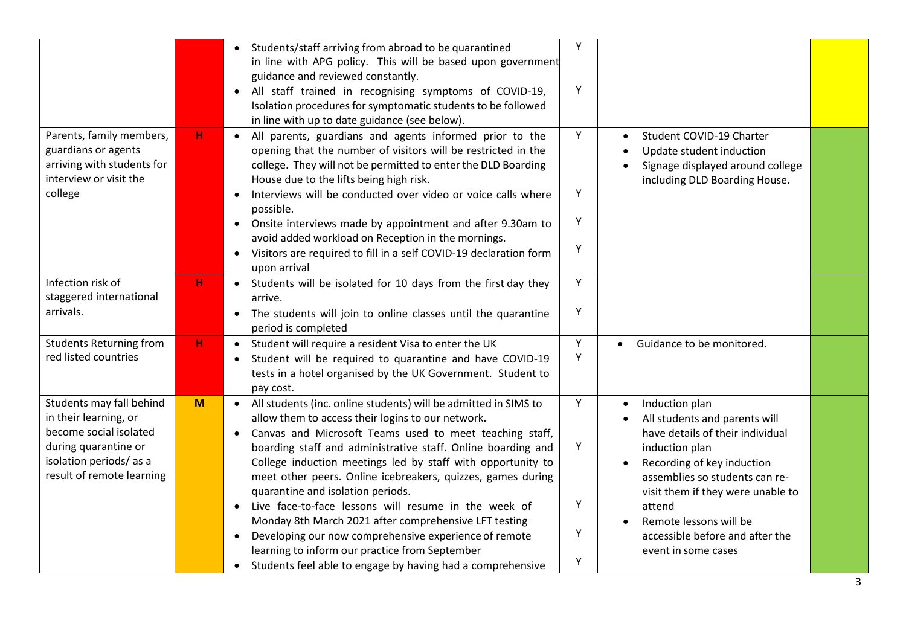|                                                                                                                                                            |             | • Students/staff arriving from abroad to be quarantined<br>in line with APG policy. This will be based upon government<br>guidance and reviewed constantly.<br>All staff trained in recognising symptoms of COVID-19,<br>$\bullet$<br>Isolation procedures for symptomatic students to be followed<br>in line with up to date guidance (see below).                                                                                                                                                                                                                                                                                                                        | Y<br>Y                |                                                                                                                                                                                                                                                                                                          |  |
|------------------------------------------------------------------------------------------------------------------------------------------------------------|-------------|----------------------------------------------------------------------------------------------------------------------------------------------------------------------------------------------------------------------------------------------------------------------------------------------------------------------------------------------------------------------------------------------------------------------------------------------------------------------------------------------------------------------------------------------------------------------------------------------------------------------------------------------------------------------------|-----------------------|----------------------------------------------------------------------------------------------------------------------------------------------------------------------------------------------------------------------------------------------------------------------------------------------------------|--|
| Parents, family members,<br>guardians or agents<br>arriving with students for<br>interview or visit the<br>college                                         | н           | • All parents, guardians and agents informed prior to the<br>opening that the number of visitors will be restricted in the<br>college. They will not be permitted to enter the DLD Boarding<br>House due to the lifts being high risk.<br>Interviews will be conducted over video or voice calls where<br>possible.<br>Onsite interviews made by appointment and after 9.30am to<br>$\bullet$<br>avoid added workload on Reception in the mornings.<br>Visitors are required to fill in a self COVID-19 declaration form<br>$\bullet$<br>upon arrival                                                                                                                      | Y<br>Υ<br>Υ<br>Υ      | Student COVID-19 Charter<br>Update student induction<br>Signage displayed around college<br>including DLD Boarding House.                                                                                                                                                                                |  |
| Infection risk of<br>staggered international<br>arrivals.                                                                                                  | н           | • Students will be isolated for 10 days from the first day they<br>arrive.<br>The students will join to online classes until the quarantine<br>period is completed                                                                                                                                                                                                                                                                                                                                                                                                                                                                                                         | Y<br>Y                |                                                                                                                                                                                                                                                                                                          |  |
| <b>Students Returning from</b><br>red listed countries                                                                                                     | $\mathbf H$ | • Student will require a resident Visa to enter the UK<br>Student will be required to quarantine and have COVID-19<br>tests in a hotel organised by the UK Government. Student to<br>pay cost.                                                                                                                                                                                                                                                                                                                                                                                                                                                                             | Υ<br>Y                | Guidance to be monitored.<br>$\bullet$                                                                                                                                                                                                                                                                   |  |
| Students may fall behind<br>in their learning, or<br>become social isolated<br>during quarantine or<br>isolation periods/as a<br>result of remote learning | M           | • All students (inc. online students) will be admitted in SIMS to<br>allow them to access their logins to our network.<br>Canvas and Microsoft Teams used to meet teaching staff,<br>$\bullet$<br>boarding staff and administrative staff. Online boarding and<br>College induction meetings led by staff with opportunity to<br>meet other peers. Online icebreakers, quizzes, games during<br>quarantine and isolation periods.<br>Live face-to-face lessons will resume in the week of<br>Monday 8th March 2021 after comprehensive LFT testing<br>Developing our now comprehensive experience of remote<br>$\bullet$<br>learning to inform our practice from September | Y<br>Υ<br>Υ<br>Y<br>Y | Induction plan<br>All students and parents will<br>have details of their individual<br>induction plan<br>Recording of key induction<br>assemblies so students can re-<br>visit them if they were unable to<br>attend<br>Remote lessons will be<br>accessible before and after the<br>event in some cases |  |
|                                                                                                                                                            |             | Students feel able to engage by having had a comprehensive<br>$\bullet$                                                                                                                                                                                                                                                                                                                                                                                                                                                                                                                                                                                                    |                       |                                                                                                                                                                                                                                                                                                          |  |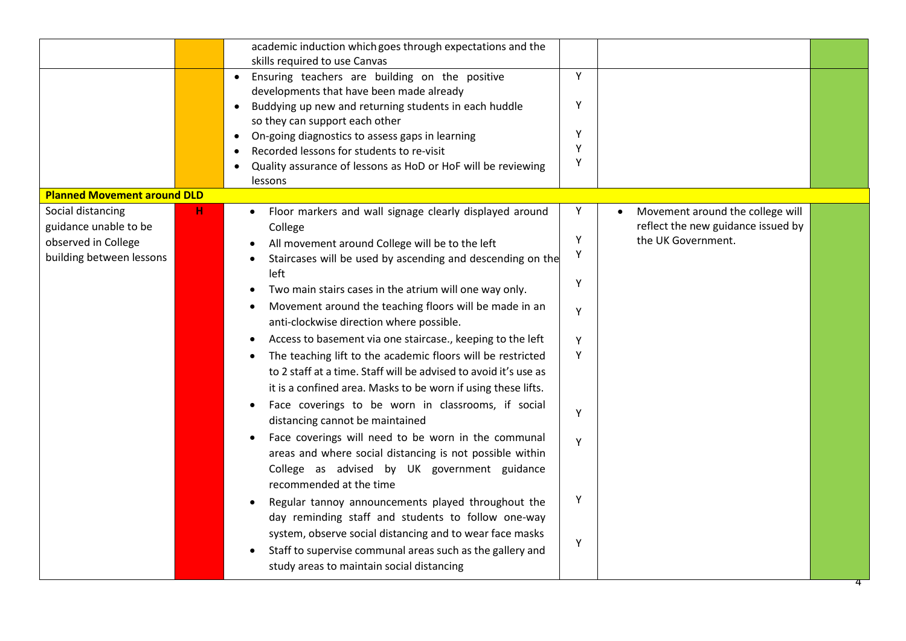|                                            |   | academic induction which goes through expectations and the<br>skills required to use Canvas<br>Ensuring teachers are building on the positive<br>developments that have been made already<br>Buddying up new and returning students in each huddle | Y<br>Υ |                                                                        |
|--------------------------------------------|---|----------------------------------------------------------------------------------------------------------------------------------------------------------------------------------------------------------------------------------------------------|--------|------------------------------------------------------------------------|
|                                            |   | so they can support each other<br>On-going diagnostics to assess gaps in learning                                                                                                                                                                  | Y      |                                                                        |
|                                            |   | Recorded lessons for students to re-visit                                                                                                                                                                                                          | Y      |                                                                        |
|                                            |   | Quality assurance of lessons as HoD or HoF will be reviewing<br>lessons                                                                                                                                                                            | Υ      |                                                                        |
| <b>Planned Movement around DLD</b>         |   |                                                                                                                                                                                                                                                    |        |                                                                        |
| Social distancing<br>guidance unable to be | н | Floor markers and wall signage clearly displayed around<br>College                                                                                                                                                                                 | Y      | Movement around the college will<br>reflect the new guidance issued by |
| observed in College                        |   | All movement around College will be to the left                                                                                                                                                                                                    | Y      | the UK Government.                                                     |
| building between lessons                   |   | Staircases will be used by ascending and descending on the<br>left                                                                                                                                                                                 | Υ<br>Υ |                                                                        |
|                                            |   | Two main stairs cases in the atrium will one way only.                                                                                                                                                                                             |        |                                                                        |
|                                            |   | Movement around the teaching floors will be made in an<br>anti-clockwise direction where possible.                                                                                                                                                 | Y      |                                                                        |
|                                            |   | Access to basement via one staircase., keeping to the left                                                                                                                                                                                         | Y      |                                                                        |
|                                            |   | The teaching lift to the academic floors will be restricted<br>to 2 staff at a time. Staff will be advised to avoid it's use as<br>it is a confined area. Masks to be worn if using these lifts.                                                   | Y      |                                                                        |
|                                            |   | Face coverings to be worn in classrooms, if social<br>distancing cannot be maintained                                                                                                                                                              | Y      |                                                                        |
|                                            |   | Face coverings will need to be worn in the communal<br>areas and where social distancing is not possible within<br>College as advised by UK government guidance<br>recommended at the time                                                         | Y      |                                                                        |
|                                            |   | Regular tannoy announcements played throughout the                                                                                                                                                                                                 | Υ      |                                                                        |
|                                            |   | day reminding staff and students to follow one-way                                                                                                                                                                                                 |        |                                                                        |
|                                            |   | system, observe social distancing and to wear face masks<br>Staff to supervise communal areas such as the gallery and<br>study areas to maintain social distancing                                                                                 | Υ      |                                                                        |
|                                            |   |                                                                                                                                                                                                                                                    |        |                                                                        |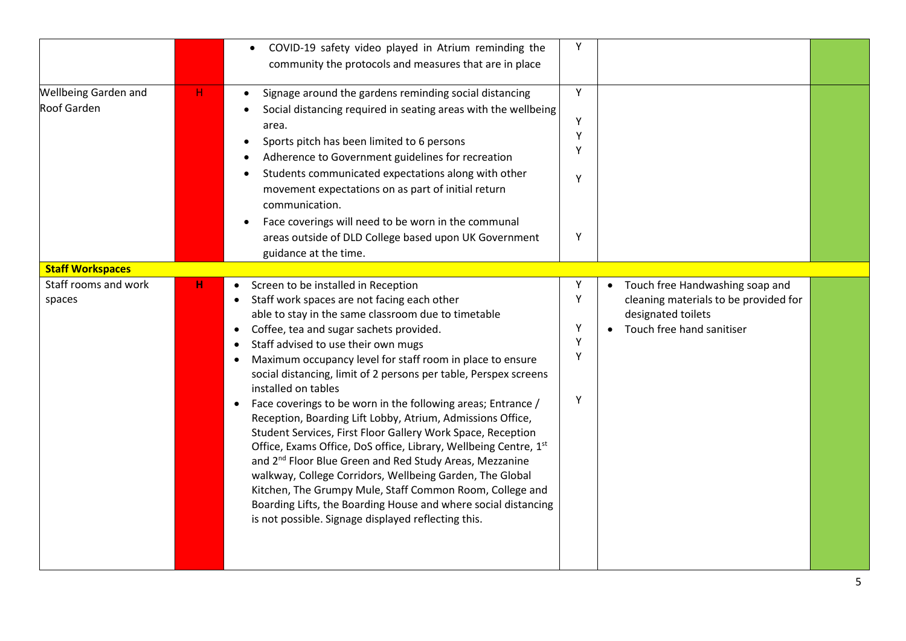|                                            |   | COVID-19 safety video played in Atrium reminding the<br>community the protocols and measures that are in place                                                                                                                                                                                                                                                                                                                                                                                                                                                                                                                                                                                                                                                                                                                                                                                                                                                               | Υ                          |                                                                                                                                          |  |
|--------------------------------------------|---|------------------------------------------------------------------------------------------------------------------------------------------------------------------------------------------------------------------------------------------------------------------------------------------------------------------------------------------------------------------------------------------------------------------------------------------------------------------------------------------------------------------------------------------------------------------------------------------------------------------------------------------------------------------------------------------------------------------------------------------------------------------------------------------------------------------------------------------------------------------------------------------------------------------------------------------------------------------------------|----------------------------|------------------------------------------------------------------------------------------------------------------------------------------|--|
| <b>Wellbeing Garden and</b><br>Roof Garden | H | Signage around the gardens reminding social distancing<br>Social distancing required in seating areas with the wellbeing<br>area.<br>Sports pitch has been limited to 6 persons<br>Adherence to Government guidelines for recreation<br>Students communicated expectations along with other<br>movement expectations on as part of initial return<br>communication.<br>Face coverings will need to be worn in the communal<br>areas outside of DLD College based upon UK Government<br>guidance at the time.                                                                                                                                                                                                                                                                                                                                                                                                                                                                 | Y<br>Υ<br>Y<br>Y<br>Y<br>Y |                                                                                                                                          |  |
| <b>Staff Workspaces</b>                    |   |                                                                                                                                                                                                                                                                                                                                                                                                                                                                                                                                                                                                                                                                                                                                                                                                                                                                                                                                                                              |                            |                                                                                                                                          |  |
| Staff rooms and work<br>spaces             | н | Screen to be installed in Reception<br>Staff work spaces are not facing each other<br>able to stay in the same classroom due to timetable<br>Coffee, tea and sugar sachets provided.<br>Staff advised to use their own mugs<br>Maximum occupancy level for staff room in place to ensure<br>social distancing, limit of 2 persons per table, Perspex screens<br>installed on tables<br>Face coverings to be worn in the following areas; Entrance /<br>Reception, Boarding Lift Lobby, Atrium, Admissions Office,<br>Student Services, First Floor Gallery Work Space, Reception<br>Office, Exams Office, DoS office, Library, Wellbeing Centre, 1st<br>and 2 <sup>nd</sup> Floor Blue Green and Red Study Areas, Mezzanine<br>walkway, College Corridors, Wellbeing Garden, The Global<br>Kitchen, The Grumpy Mule, Staff Common Room, College and<br>Boarding Lifts, the Boarding House and where social distancing<br>is not possible. Signage displayed reflecting this. | Y<br>Y<br>Y<br>Y<br>Y<br>Y | Touch free Handwashing soap and<br>$\bullet$<br>cleaning materials to be provided for<br>designated toilets<br>Touch free hand sanitiser |  |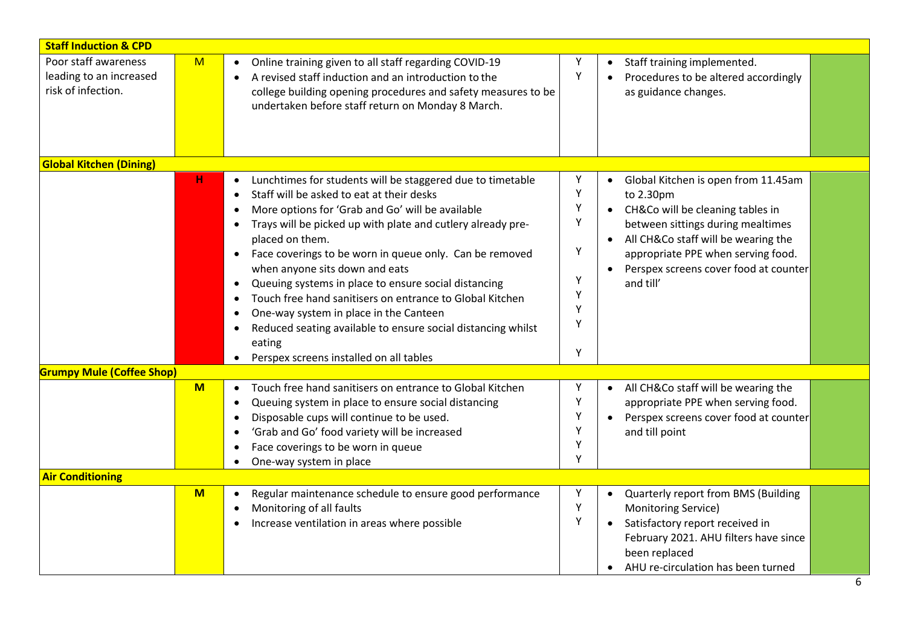| <b>Staff Induction &amp; CPD</b>                                      |     |                                                                                                                                                                                                                                                                                                                                                                                                                                                                                                                                                                                                                                            |                                                |                                                                                                                                                                                                                                                                                        |
|-----------------------------------------------------------------------|-----|--------------------------------------------------------------------------------------------------------------------------------------------------------------------------------------------------------------------------------------------------------------------------------------------------------------------------------------------------------------------------------------------------------------------------------------------------------------------------------------------------------------------------------------------------------------------------------------------------------------------------------------------|------------------------------------------------|----------------------------------------------------------------------------------------------------------------------------------------------------------------------------------------------------------------------------------------------------------------------------------------|
| Poor staff awareness<br>leading to an increased<br>risk of infection. | M   | Online training given to all staff regarding COVID-19<br>A revised staff induction and an introduction to the<br>college building opening procedures and safety measures to be<br>undertaken before staff return on Monday 8 March.                                                                                                                                                                                                                                                                                                                                                                                                        | Υ<br>Y                                         | Staff training implemented.<br>$\bullet$<br>Procedures to be altered accordingly<br>$\bullet$<br>as guidance changes.                                                                                                                                                                  |
| <b>Global Kitchen (Dining)</b>                                        |     |                                                                                                                                                                                                                                                                                                                                                                                                                                                                                                                                                                                                                                            |                                                |                                                                                                                                                                                                                                                                                        |
|                                                                       | H   | Lunchtimes for students will be staggered due to timetable<br>Staff will be asked to eat at their desks<br>More options for 'Grab and Go' will be available<br>Trays will be picked up with plate and cutlery already pre-<br>placed on them.<br>Face coverings to be worn in queue only. Can be removed<br>$\bullet$<br>when anyone sits down and eats<br>Queuing systems in place to ensure social distancing<br>Touch free hand sanitisers on entrance to Global Kitchen<br>One-way system in place in the Canteen<br>Reduced seating available to ensure social distancing whilst<br>eating<br>Perspex screens installed on all tables | Y<br>Y<br>Y<br>Υ<br>Y<br>Y<br>Υ<br>Υ<br>Υ<br>Y | Global Kitchen is open from 11.45am<br>$\bullet$<br>to 2.30pm<br>CH&Co will be cleaning tables in<br>$\bullet$<br>between sittings during mealtimes<br>All CH&Co staff will be wearing the<br>appropriate PPE when serving food.<br>Perspex screens cover food at counter<br>and till' |
| <b>Grumpy Mule (Coffee Shop)</b>                                      |     |                                                                                                                                                                                                                                                                                                                                                                                                                                                                                                                                                                                                                                            |                                                |                                                                                                                                                                                                                                                                                        |
|                                                                       | $M$ | Touch free hand sanitisers on entrance to Global Kitchen<br>$\bullet$<br>Queuing system in place to ensure social distancing<br>Disposable cups will continue to be used.<br>'Grab and Go' food variety will be increased<br>Face coverings to be worn in queue<br>One-way system in place                                                                                                                                                                                                                                                                                                                                                 | Y<br>Υ<br>Υ<br>Υ<br>Y<br>Y                     | All CH&Co staff will be wearing the<br>$\bullet$<br>appropriate PPE when serving food.<br>Perspex screens cover food at counter<br>$\bullet$<br>and till point                                                                                                                         |
| <b>Air Conditioning</b>                                               |     |                                                                                                                                                                                                                                                                                                                                                                                                                                                                                                                                                                                                                                            |                                                |                                                                                                                                                                                                                                                                                        |
|                                                                       | $M$ | Regular maintenance schedule to ensure good performance<br>Monitoring of all faults<br>Increase ventilation in areas where possible                                                                                                                                                                                                                                                                                                                                                                                                                                                                                                        | Y<br>$\mathsf Y$<br>Y                          | Quarterly report from BMS (Building<br>$\bullet$<br>Monitoring Service)<br>Satisfactory report received in<br>$\bullet$<br>February 2021. AHU filters have since<br>been replaced<br>AHU re-circulation has been turned<br>$\bullet$                                                   |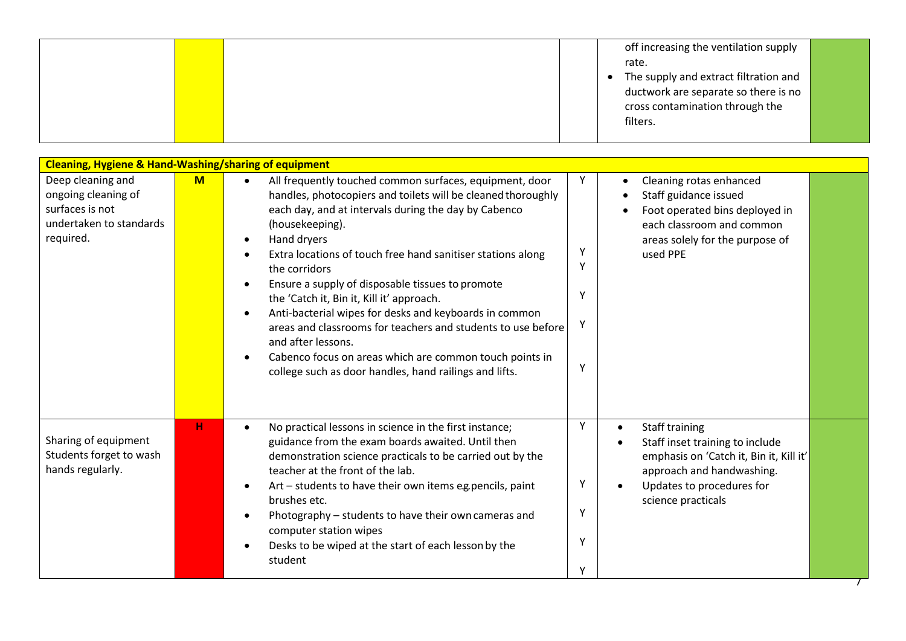|  |  | off increasing the ventilation supply |  |
|--|--|---------------------------------------|--|
|  |  | rate.                                 |  |
|  |  | The supply and extract filtration and |  |
|  |  | ductwork are separate so there is no  |  |
|  |  | cross contamination through the       |  |
|  |  | filters.                              |  |
|  |  |                                       |  |

| <b>Cleaning, Hygiene &amp; Hand-Washing/sharing of equipment</b>                                    |   |                                                                                                                                                                                                                                                                                                                                                                                                                                                                                                                                                                                                                                                                                      |                                  |                                                                                                                                                                                           |
|-----------------------------------------------------------------------------------------------------|---|--------------------------------------------------------------------------------------------------------------------------------------------------------------------------------------------------------------------------------------------------------------------------------------------------------------------------------------------------------------------------------------------------------------------------------------------------------------------------------------------------------------------------------------------------------------------------------------------------------------------------------------------------------------------------------------|----------------------------------|-------------------------------------------------------------------------------------------------------------------------------------------------------------------------------------------|
| Deep cleaning and<br>ongoing cleaning of<br>surfaces is not<br>undertaken to standards<br>required. | M | All frequently touched common surfaces, equipment, door<br>$\bullet$<br>handles, photocopiers and toilets will be cleaned thoroughly<br>each day, and at intervals during the day by Cabenco<br>(housekeeping).<br>Hand dryers<br>Extra locations of touch free hand sanitiser stations along<br>the corridors<br>Ensure a supply of disposable tissues to promote<br>the 'Catch it, Bin it, Kill it' approach.<br>Anti-bacterial wipes for desks and keyboards in common<br>areas and classrooms for teachers and students to use before<br>and after lessons.<br>Cabenco focus on areas which are common touch points in<br>college such as door handles, hand railings and lifts. | Υ<br>$\vee$<br>Υ<br>Υ<br>٧       | Cleaning rotas enhanced<br>Staff guidance issued<br>Foot operated bins deployed in<br>each classroom and common<br>areas solely for the purpose of<br>used PPE                            |
| Sharing of equipment<br>Students forget to wash<br>hands regularly.                                 | н | No practical lessons in science in the first instance;<br>guidance from the exam boards awaited. Until then<br>demonstration science practicals to be carried out by the<br>teacher at the front of the lab.<br>Art – students to have their own items eg pencils, paint<br>brushes etc.<br>Photography - students to have their own cameras and<br>computer station wipes<br>Desks to be wiped at the start of each lesson by the<br>student                                                                                                                                                                                                                                        | Y<br>Υ<br>Υ<br>٧<br>$\checkmark$ | Staff training<br>$\bullet$<br>Staff inset training to include<br>emphasis on 'Catch it, Bin it, Kill it'<br>approach and handwashing.<br>Updates to procedures for<br>science practicals |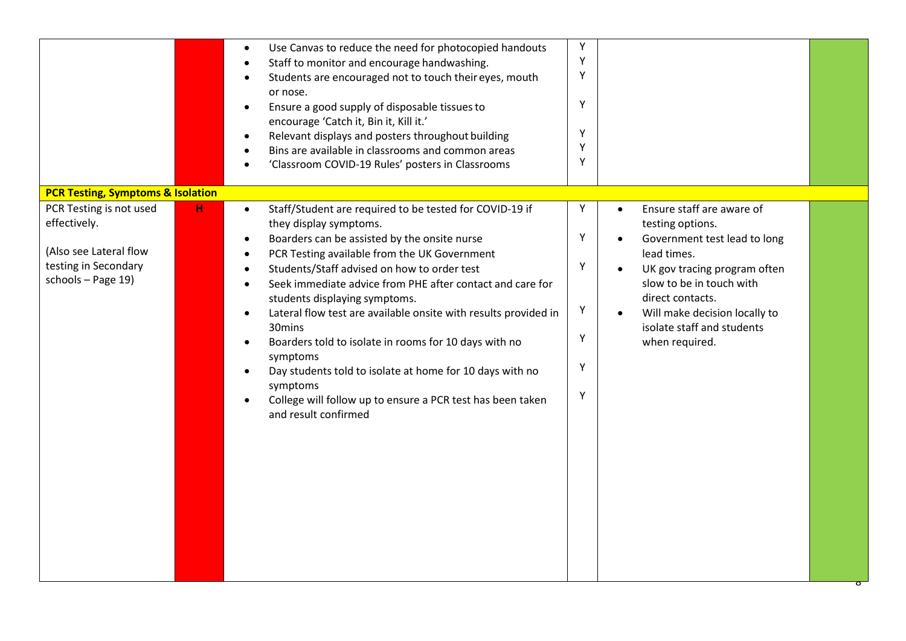|                                                                                                                                                                      | Υ<br>Use Canvas to reduce the need for photocopied handouts<br>$\bullet$<br>Y<br>Staff to monitor and encourage handwashing.<br>Υ<br>Students are encouraged not to touch their eyes, mouth<br>or nose.<br>Υ<br>Ensure a good supply of disposable tissues to<br>encourage 'Catch it, Bin it, Kill it.'<br>Υ<br>Relevant displays and posters throughout building<br>Υ<br>Bins are available in classrooms and common areas<br>Υ<br>'Classroom COVID-19 Rules' posters in Classrooms                                                                                                                                                                                                                                                                                                                                                                                                                                                                                                                   |  |
|----------------------------------------------------------------------------------------------------------------------------------------------------------------------|--------------------------------------------------------------------------------------------------------------------------------------------------------------------------------------------------------------------------------------------------------------------------------------------------------------------------------------------------------------------------------------------------------------------------------------------------------------------------------------------------------------------------------------------------------------------------------------------------------------------------------------------------------------------------------------------------------------------------------------------------------------------------------------------------------------------------------------------------------------------------------------------------------------------------------------------------------------------------------------------------------|--|
| <b>PCR Testing, Symptoms &amp; Isolation</b><br>PCR Testing is not used<br>н<br>effectively.<br>(Also see Lateral flow<br>testing in Secondary<br>schools - Page 19) | Υ<br>Ensure staff are aware of<br>Staff/Student are required to be tested for COVID-19 if<br>$\bullet$<br>$\bullet$<br>they display symptoms.<br>testing options.<br>Υ<br>Boarders can be assisted by the onsite nurse<br>Government test lead to long<br>lead times.<br>PCR Testing available from the UK Government<br>Υ<br>Students/Staff advised on how to order test<br>UK gov tracing program often<br>Seek immediate advice from PHE after contact and care for<br>slow to be in touch with<br>direct contacts.<br>students displaying symptoms.<br>Υ<br>Lateral flow test are available onsite with results provided in<br>Will make decision locally to<br>$\bullet$<br>$\bullet$<br>30mins<br>isolate staff and students<br>Υ<br>Boarders told to isolate in rooms for 10 days with no<br>when required.<br>symptoms<br>Υ<br>Day students told to isolate at home for 10 days with no<br>symptoms<br>Υ<br>College will follow up to ensure a PCR test has been taken<br>and result confirmed |  |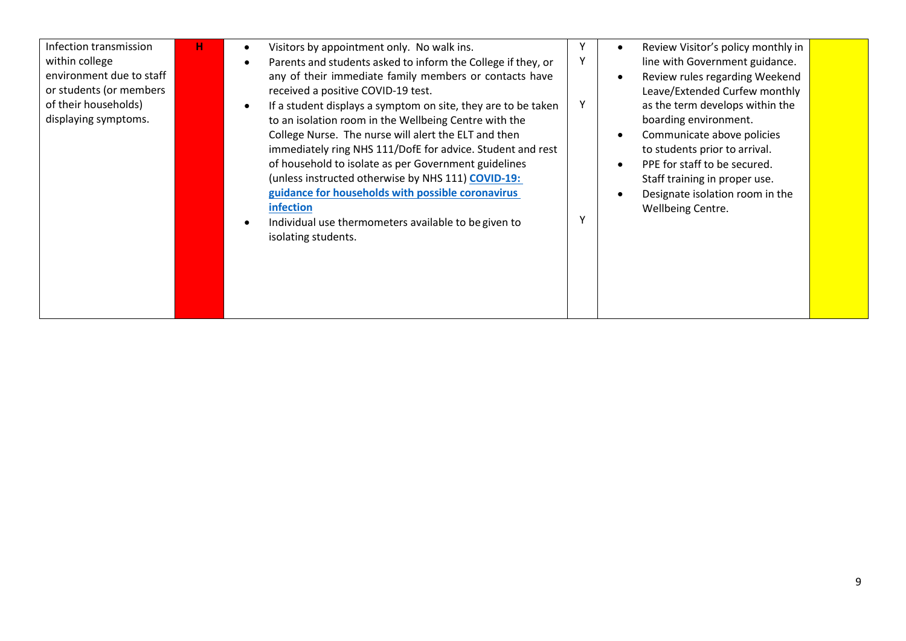| Infection transmission<br>within college<br>environment due to staff<br>or students (or members<br>of their households)<br>displaying symptoms. | н | Review Visitor's policy monthly in<br>Visitors by appointment only. No walk ins.<br>$\bullet$<br>$\bullet$<br>Parents and students asked to inform the College if they, or<br>line with Government guidance.<br>any of their immediate family members or contacts have<br>Review rules regarding Weekend<br>$\bullet$<br>Leave/Extended Curfew monthly<br>received a positive COVID-19 test.<br>as the term develops within the<br>If a student displays a symptom on site, they are to be taken<br>boarding environment.<br>to an isolation room in the Wellbeing Centre with the<br>College Nurse. The nurse will alert the ELT and then<br>Communicate above policies<br>immediately ring NHS 111/DofE for advice. Student and rest<br>to students prior to arrival.<br>of household to isolate as per Government guidelines<br>PPE for staff to be secured.<br>$\bullet$<br>(unless instructed otherwise by NHS 111) COVID-19:<br>Staff training in proper use.<br>guidance for households with possible coronavirus<br>Designate isolation room in the<br>$\bullet$ |  |
|-------------------------------------------------------------------------------------------------------------------------------------------------|---|--------------------------------------------------------------------------------------------------------------------------------------------------------------------------------------------------------------------------------------------------------------------------------------------------------------------------------------------------------------------------------------------------------------------------------------------------------------------------------------------------------------------------------------------------------------------------------------------------------------------------------------------------------------------------------------------------------------------------------------------------------------------------------------------------------------------------------------------------------------------------------------------------------------------------------------------------------------------------------------------------------------------------------------------------------------------------|--|
|                                                                                                                                                 |   | infection<br>Wellbeing Centre.<br>Individual use thermometers available to be given to<br>isolating students.                                                                                                                                                                                                                                                                                                                                                                                                                                                                                                                                                                                                                                                                                                                                                                                                                                                                                                                                                            |  |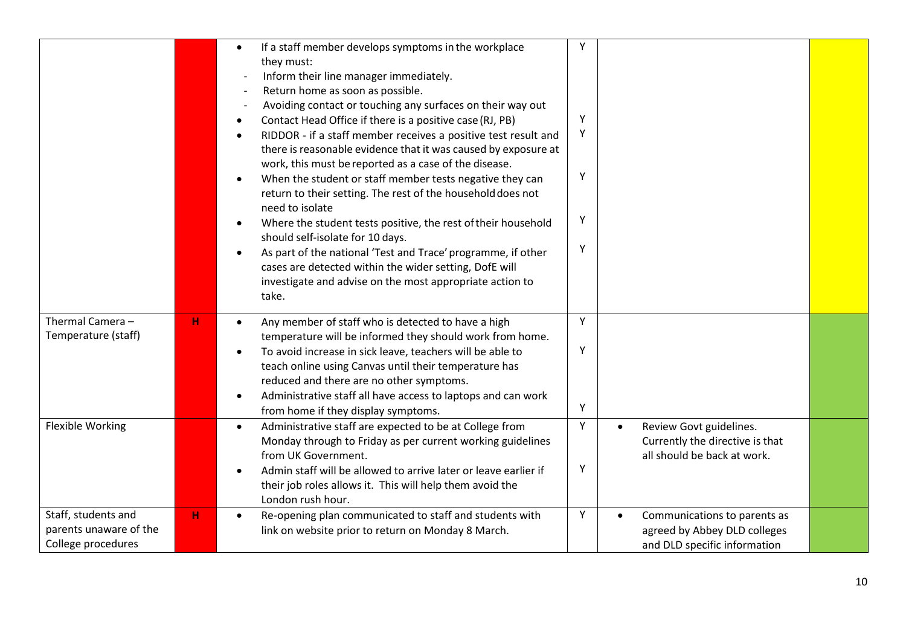|                                                                     |   | If a staff member develops symptoms in the workplace<br>$\bullet$<br>they must:<br>Inform their line manager immediately.<br>Return home as soon as possible.<br>Avoiding contact or touching any surfaces on their way out<br>Contact Head Office if there is a positive case (RJ, PB)<br>RIDDOR - if a staff member receives a positive test result and<br>there is reasonable evidence that it was caused by exposure at<br>work, this must be reported as a case of the disease.<br>When the student or staff member tests negative they can<br>return to their setting. The rest of the household does not<br>need to isolate<br>Where the student tests positive, the rest of their household<br>should self-isolate for 10 days.<br>As part of the national 'Test and Trace' programme, if other<br>cases are detected within the wider setting, DofE will<br>investigate and advise on the most appropriate action to<br>take. | Y<br>Y<br>Y<br>Υ<br>Υ<br>Y |                                                                                                           |  |
|---------------------------------------------------------------------|---|----------------------------------------------------------------------------------------------------------------------------------------------------------------------------------------------------------------------------------------------------------------------------------------------------------------------------------------------------------------------------------------------------------------------------------------------------------------------------------------------------------------------------------------------------------------------------------------------------------------------------------------------------------------------------------------------------------------------------------------------------------------------------------------------------------------------------------------------------------------------------------------------------------------------------------------|----------------------------|-----------------------------------------------------------------------------------------------------------|--|
| Thermal Camera-<br>Temperature (staff)                              | н | Any member of staff who is detected to have a high<br>temperature will be informed they should work from home.<br>To avoid increase in sick leave, teachers will be able to<br>teach online using Canvas until their temperature has<br>reduced and there are no other symptoms.<br>Administrative staff all have access to laptops and can work<br>from home if they display symptoms.                                                                                                                                                                                                                                                                                                                                                                                                                                                                                                                                                | Y<br>Y<br>Υ                |                                                                                                           |  |
| <b>Flexible Working</b>                                             |   | Administrative staff are expected to be at College from<br>$\bullet$<br>Monday through to Friday as per current working guidelines<br>from UK Government.<br>Admin staff will be allowed to arrive later or leave earlier if<br>their job roles allows it. This will help them avoid the<br>London rush hour.                                                                                                                                                                                                                                                                                                                                                                                                                                                                                                                                                                                                                          | Υ<br>Y                     | Review Govt guidelines.<br>$\bullet$<br>Currently the directive is that<br>all should be back at work.    |  |
| Staff, students and<br>parents unaware of the<br>College procedures | H | Re-opening plan communicated to staff and students with<br>$\bullet$<br>link on website prior to return on Monday 8 March.                                                                                                                                                                                                                                                                                                                                                                                                                                                                                                                                                                                                                                                                                                                                                                                                             | Υ                          | Communications to parents as<br>$\bullet$<br>agreed by Abbey DLD colleges<br>and DLD specific information |  |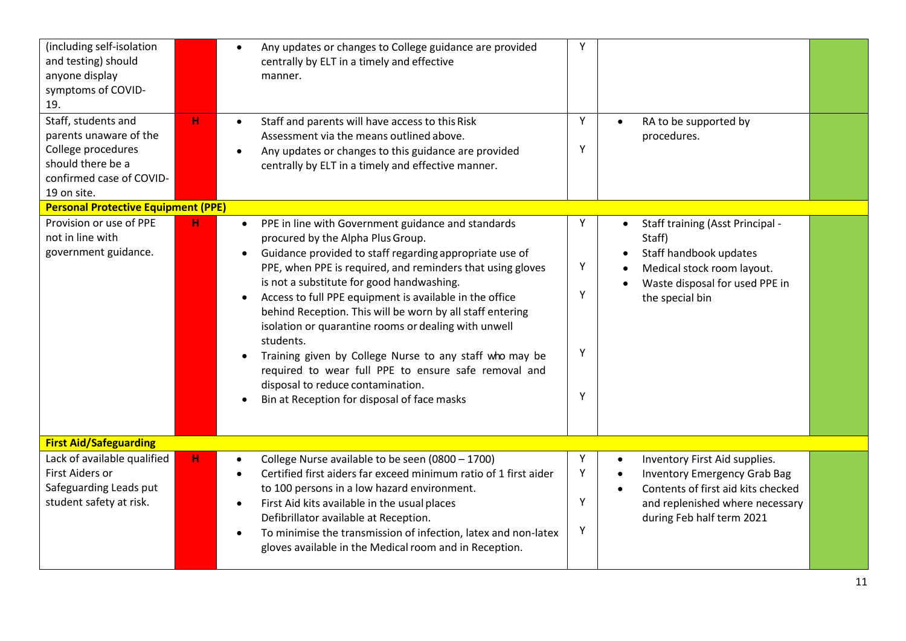| (including self-isolation<br>and testing) should<br>anyone display<br>symptoms of COVID-<br>19.                                     |   | Any updates or changes to College guidance are provided<br>$\bullet$<br>centrally by ELT in a timely and effective<br>manner.                                                                                                                                                                                                                                                                                                                                                                                                                                                                                                                                                               | Υ                     |                                                                                                                                                                                                      |  |
|-------------------------------------------------------------------------------------------------------------------------------------|---|---------------------------------------------------------------------------------------------------------------------------------------------------------------------------------------------------------------------------------------------------------------------------------------------------------------------------------------------------------------------------------------------------------------------------------------------------------------------------------------------------------------------------------------------------------------------------------------------------------------------------------------------------------------------------------------------|-----------------------|------------------------------------------------------------------------------------------------------------------------------------------------------------------------------------------------------|--|
| Staff, students and<br>parents unaware of the<br>College procedures<br>should there be a<br>confirmed case of COVID-<br>19 on site. | H | Staff and parents will have access to this Risk<br>Assessment via the means outlined above.<br>Any updates or changes to this guidance are provided<br>centrally by ELT in a timely and effective manner.                                                                                                                                                                                                                                                                                                                                                                                                                                                                                   | Y<br>Υ                | RA to be supported by<br>procedures.                                                                                                                                                                 |  |
| <b>Personal Protective Equipment (PPE)</b><br>Provision or use of PPE<br>not in line with<br>government guidance.                   | н | PPE in line with Government guidance and standards<br>$\bullet$<br>procured by the Alpha Plus Group.<br>Guidance provided to staff regarding appropriate use of<br>$\bullet$<br>PPE, when PPE is required, and reminders that using gloves<br>is not a substitute for good handwashing.<br>Access to full PPE equipment is available in the office<br>behind Reception. This will be worn by all staff entering<br>isolation or quarantine rooms or dealing with unwell<br>students.<br>Training given by College Nurse to any staff who may be<br>required to wear full PPE to ensure safe removal and<br>disposal to reduce contamination.<br>Bin at Reception for disposal of face masks | Υ<br>Υ<br>Y<br>Υ<br>Y | Staff training (Asst Principal -<br>$\bullet$<br>Staff)<br>Staff handbook updates<br>Medical stock room layout.<br>Waste disposal for used PPE in<br>the special bin                                 |  |
| <b>First Aid/Safeguarding</b>                                                                                                       |   |                                                                                                                                                                                                                                                                                                                                                                                                                                                                                                                                                                                                                                                                                             |                       |                                                                                                                                                                                                      |  |
| Lack of available qualified<br>First Aiders or<br>Safeguarding Leads put<br>student safety at risk.                                 | н | College Nurse available to be seen (0800 - 1700)<br>Certified first aiders far exceed minimum ratio of 1 first aider<br>to 100 persons in a low hazard environment.<br>First Aid kits available in the usual places<br>Defibrillator available at Reception.<br>To minimise the transmission of infection, latex and non-latex<br>gloves available in the Medical room and in Reception.                                                                                                                                                                                                                                                                                                    | Υ<br>Υ<br>Υ<br>Υ      | Inventory First Aid supplies.<br>$\bullet$<br><b>Inventory Emergency Grab Bag</b><br>$\bullet$<br>Contents of first aid kits checked<br>and replenished where necessary<br>during Feb half term 2021 |  |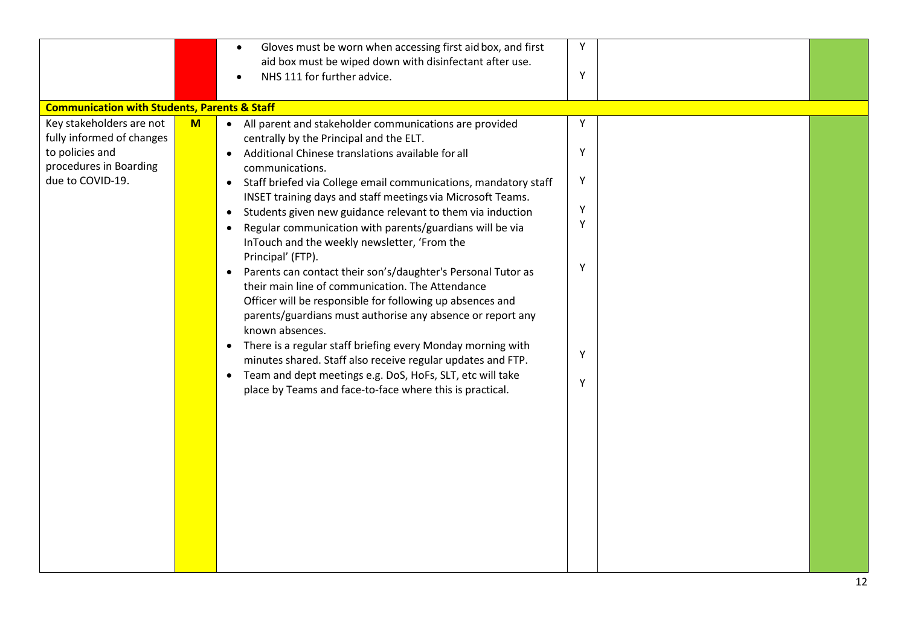|                                                                                            |   | Gloves must be worn when accessing first aid box, and first<br>$\bullet$<br>aid box must be wiped down with disinfectant after use.<br>NHS 111 for further advice.                                                                                                                                                                                      | Y<br>Y |  |
|--------------------------------------------------------------------------------------------|---|---------------------------------------------------------------------------------------------------------------------------------------------------------------------------------------------------------------------------------------------------------------------------------------------------------------------------------------------------------|--------|--|
| <b>Communication with Students, Parents &amp; Staff</b><br>Key stakeholders are not        | M | • All parent and stakeholder communications are provided                                                                                                                                                                                                                                                                                                | Y      |  |
| fully informed of changes<br>to policies and<br>procedures in Boarding<br>due to COVID-19. |   | centrally by the Principal and the ELT.<br>Additional Chinese translations available for all<br>$\bullet$<br>communications.<br>Staff briefed via College email communications, mandatory staff<br>$\bullet$<br>INSET training days and staff meetings via Microsoft Teams.                                                                             | Y<br>Y |  |
|                                                                                            |   | Students given new guidance relevant to them via induction<br>$\bullet$<br>Regular communication with parents/guardians will be via<br>$\bullet$<br>InTouch and the weekly newsletter, 'From the<br>Principal' (FTP).                                                                                                                                   | Y<br>Υ |  |
|                                                                                            |   | Parents can contact their son's/daughter's Personal Tutor as<br>$\bullet$<br>their main line of communication. The Attendance<br>Officer will be responsible for following up absences and<br>parents/guardians must authorise any absence or report any<br>known absences.<br>There is a regular staff briefing every Monday morning with<br>$\bullet$ | Υ      |  |
|                                                                                            |   | minutes shared. Staff also receive regular updates and FTP.<br>Team and dept meetings e.g. DoS, HoFs, SLT, etc will take<br>$\bullet$<br>place by Teams and face-to-face where this is practical.                                                                                                                                                       | Y<br>Υ |  |
|                                                                                            |   |                                                                                                                                                                                                                                                                                                                                                         |        |  |
|                                                                                            |   |                                                                                                                                                                                                                                                                                                                                                         |        |  |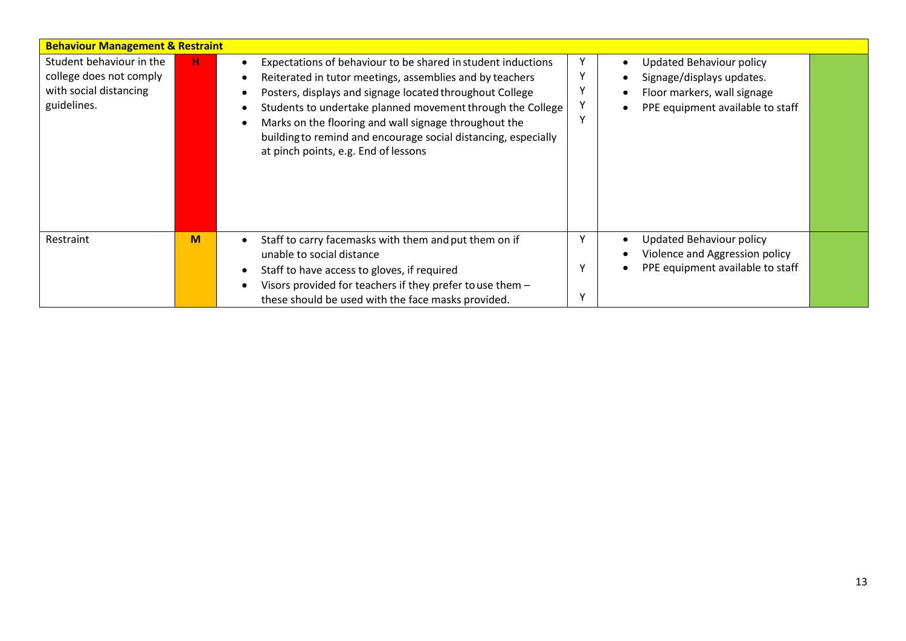| <b>Behaviour Management &amp; Restraint</b>                                                  |    |                                                                                                                                                                                                                                                                                                                                                                                                                                                                                                                                                          |
|----------------------------------------------------------------------------------------------|----|----------------------------------------------------------------------------------------------------------------------------------------------------------------------------------------------------------------------------------------------------------------------------------------------------------------------------------------------------------------------------------------------------------------------------------------------------------------------------------------------------------------------------------------------------------|
| Student behaviour in the<br>college does not comply<br>with social distancing<br>guidelines. | н. | <b>Updated Behaviour policy</b><br>Expectations of behaviour to be shared in student inductions<br>Signage/displays updates.<br>Reiterated in tutor meetings, assemblies and by teachers<br>Floor markers, wall signage<br>Posters, displays and signage located throughout College<br>Students to undertake planned movement through the College<br>PPE equipment available to staff<br>Marks on the flooring and wall signage throughout the<br>building to remind and encourage social distancing, especially<br>at pinch points, e.g. End of lessons |
| Restraint                                                                                    | M  | <b>Updated Behaviour policy</b><br>Staff to carry facemasks with them and put them on if<br>Violence and Aggression policy<br>unable to social distance<br>PPE equipment available to staff<br>Staff to have access to gloves, if required<br>Visors provided for teachers if they prefer to use them -<br>these should be used with the face masks provided.                                                                                                                                                                                            |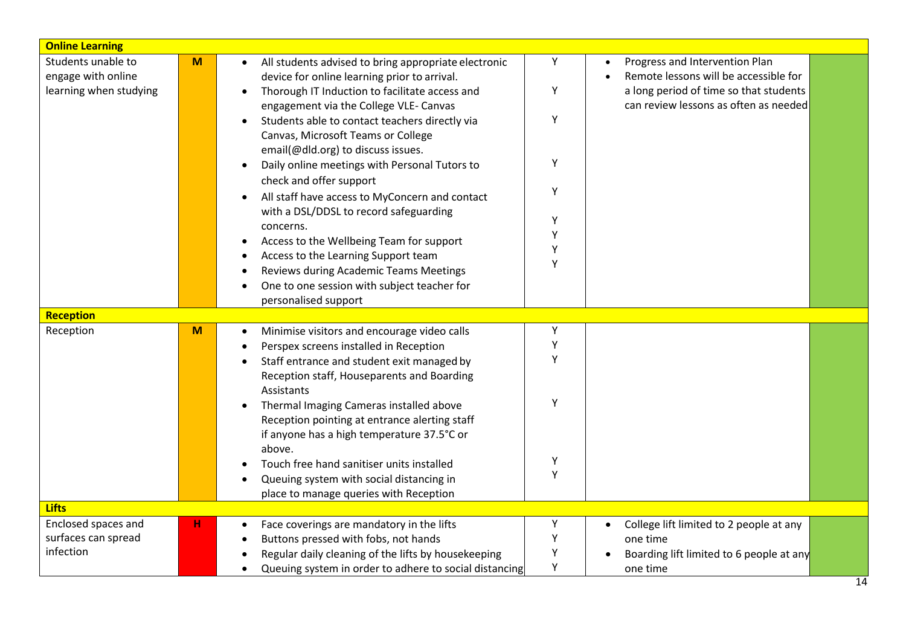| <b>Online Learning</b> |   |                                                             |        |                                                      |
|------------------------|---|-------------------------------------------------------------|--------|------------------------------------------------------|
| Students unable to     | M | All students advised to bring appropriate electronic        | Υ      | Progress and Intervention Plan                       |
| engage with online     |   | device for online learning prior to arrival.                |        | Remote lessons will be accessible for                |
| learning when studying |   | Thorough IT Induction to facilitate access and<br>$\bullet$ | Υ      | a long period of time so that students               |
|                        |   | engagement via the College VLE-Canvas                       |        | can review lessons as often as needed                |
|                        |   | Students able to contact teachers directly via<br>$\bullet$ | Υ      |                                                      |
|                        |   | Canvas, Microsoft Teams or College                          |        |                                                      |
|                        |   | email(@dld.org) to discuss issues.                          |        |                                                      |
|                        |   | Daily online meetings with Personal Tutors to<br>$\bullet$  | Υ      |                                                      |
|                        |   | check and offer support                                     |        |                                                      |
|                        |   | All staff have access to MyConcern and contact              | Υ      |                                                      |
|                        |   | with a DSL/DDSL to record safeguarding                      |        |                                                      |
|                        |   | concerns.                                                   | Υ      |                                                      |
|                        |   | Access to the Wellbeing Team for support                    | Υ      |                                                      |
|                        |   | Access to the Learning Support team                         | Υ<br>Y |                                                      |
|                        |   | Reviews during Academic Teams Meetings                      |        |                                                      |
|                        |   | One to one session with subject teacher for                 |        |                                                      |
|                        |   | personalised support                                        |        |                                                      |
| Reception              |   |                                                             |        |                                                      |
| Reception              | M | Minimise visitors and encourage video calls                 | Υ      |                                                      |
|                        |   | Perspex screens installed in Reception                      | Υ      |                                                      |
|                        |   | Staff entrance and student exit managed by                  | Y      |                                                      |
|                        |   | Reception staff, Houseparents and Boarding                  |        |                                                      |
|                        |   | Assistants                                                  |        |                                                      |
|                        |   | Thermal Imaging Cameras installed above                     | Y      |                                                      |
|                        |   | Reception pointing at entrance alerting staff               |        |                                                      |
|                        |   | if anyone has a high temperature 37.5°C or                  |        |                                                      |
|                        |   | above.                                                      |        |                                                      |
|                        |   | Touch free hand sanitiser units installed                   | Υ      |                                                      |
|                        |   | Queuing system with social distancing in                    | Υ      |                                                      |
|                        |   | place to manage queries with Reception                      |        |                                                      |
| <b>Lifts</b>           |   |                                                             |        |                                                      |
| Enclosed spaces and    | н | Face coverings are mandatory in the lifts                   | Y      | College lift limited to 2 people at any<br>$\bullet$ |
| surfaces can spread    |   | Buttons pressed with fobs, not hands                        | Υ      | one time                                             |
| infection              |   | Regular daily cleaning of the lifts by housekeeping         | Y      | Boarding lift limited to 6 people at any             |
|                        |   | Queuing system in order to adhere to social distancing      | Y      | one time                                             |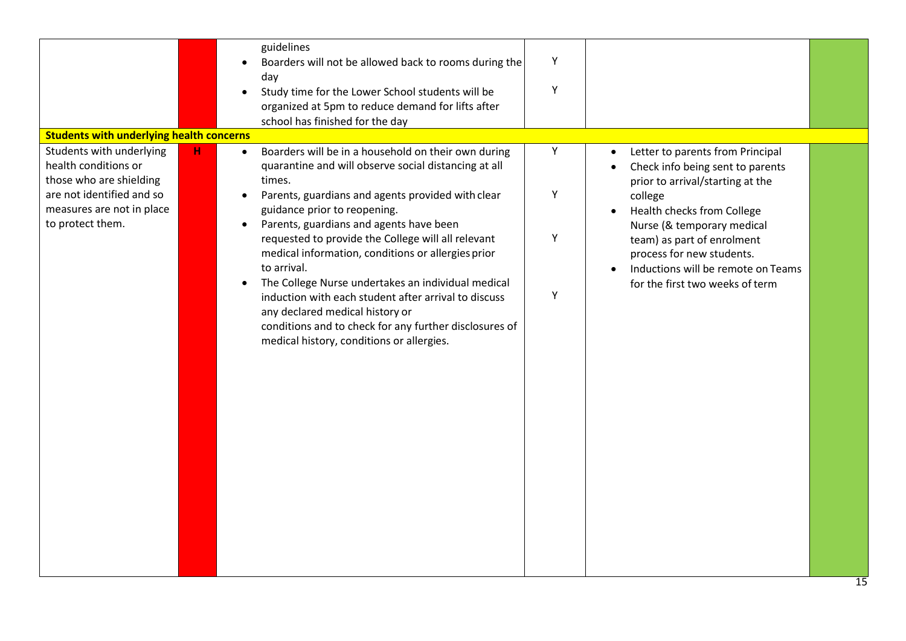|                                                                                                                                                                                                                             | guidelines<br>Boarders will not be allowed back to rooms during the<br>$\bullet$<br>day<br>Study time for the Lower School students will be<br>organized at 5pm to reduce demand for lifts after<br>school has finished for the day                                                                                                                                                                                                                                                                                                                                                                                                      | Y<br>Y           |                                                                                                                                                                                                                                                                                                                     |
|-----------------------------------------------------------------------------------------------------------------------------------------------------------------------------------------------------------------------------|------------------------------------------------------------------------------------------------------------------------------------------------------------------------------------------------------------------------------------------------------------------------------------------------------------------------------------------------------------------------------------------------------------------------------------------------------------------------------------------------------------------------------------------------------------------------------------------------------------------------------------------|------------------|---------------------------------------------------------------------------------------------------------------------------------------------------------------------------------------------------------------------------------------------------------------------------------------------------------------------|
| <b>Students with underlying health concerns</b><br>Students with underlying<br>$\mathbf H$<br>health conditions or<br>those who are shielding<br>are not identified and so<br>measures are not in place<br>to protect them. | Boarders will be in a household on their own during<br>quarantine and will observe social distancing at all<br>times.<br>Parents, guardians and agents provided with clear<br>guidance prior to reopening.<br>Parents, guardians and agents have been<br>requested to provide the College will all relevant<br>medical information, conditions or allergies prior<br>to arrival.<br>The College Nurse undertakes an individual medical<br>induction with each student after arrival to discuss<br>any declared medical history or<br>conditions and to check for any further disclosures of<br>medical history, conditions or allergies. | Υ<br>Υ<br>Y<br>Υ | Letter to parents from Principal<br>Check info being sent to parents<br>prior to arrival/starting at the<br>college<br>Health checks from College<br>Nurse (& temporary medical<br>team) as part of enrolment<br>process for new students.<br>Inductions will be remote on Teams<br>for the first two weeks of term |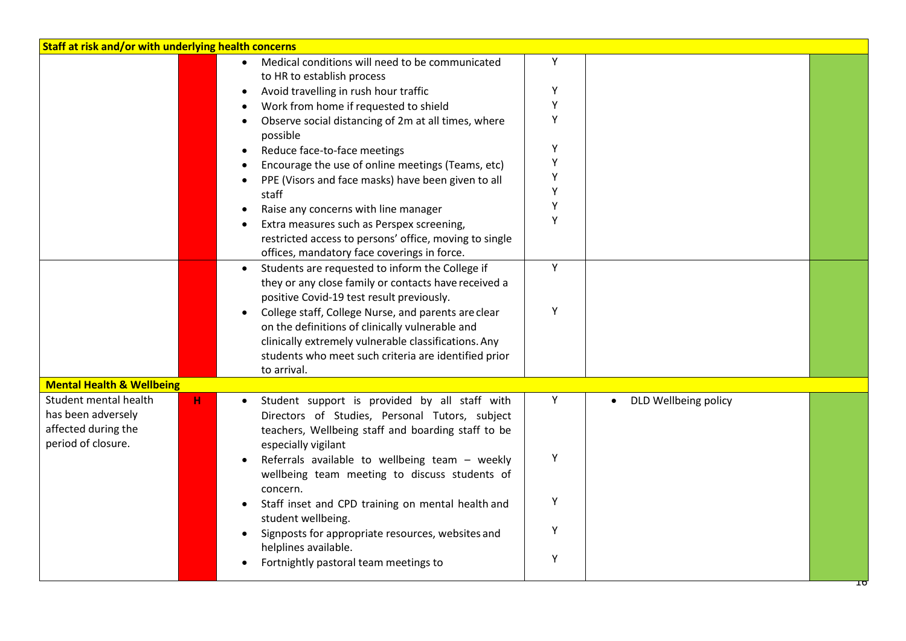| Staff at risk and/or with underlying health concerns                                     |                                                                                                                                                                                                                                       |        |                      |    |  |
|------------------------------------------------------------------------------------------|---------------------------------------------------------------------------------------------------------------------------------------------------------------------------------------------------------------------------------------|--------|----------------------|----|--|
|                                                                                          | Medical conditions will need to be communicated<br>to HR to establish process                                                                                                                                                         | Y      |                      |    |  |
|                                                                                          | Avoid travelling in rush hour traffic                                                                                                                                                                                                 | Υ      |                      |    |  |
|                                                                                          | Work from home if requested to shield                                                                                                                                                                                                 | Υ      |                      |    |  |
|                                                                                          | Observe social distancing of 2m at all times, where<br>possible                                                                                                                                                                       | Υ      |                      |    |  |
|                                                                                          | Reduce face-to-face meetings                                                                                                                                                                                                          | Y      |                      |    |  |
|                                                                                          | Encourage the use of online meetings (Teams, etc)                                                                                                                                                                                     | Υ      |                      |    |  |
|                                                                                          | PPE (Visors and face masks) have been given to all<br>staff                                                                                                                                                                           | Υ<br>Y |                      |    |  |
|                                                                                          | Raise any concerns with line manager                                                                                                                                                                                                  | Υ      |                      |    |  |
|                                                                                          | Extra measures such as Perspex screening,<br>restricted access to persons' office, moving to single<br>offices, mandatory face coverings in force.                                                                                    | Y      |                      |    |  |
|                                                                                          | Students are requested to inform the College if<br>$\bullet$<br>they or any close family or contacts have received a<br>positive Covid-19 test result previously.                                                                     | Y      |                      |    |  |
|                                                                                          | College staff, College Nurse, and parents are clear<br>on the definitions of clinically vulnerable and<br>clinically extremely vulnerable classifications. Any<br>students who meet such criteria are identified prior<br>to arrival. | Y      |                      |    |  |
| <b>Mental Health &amp; Wellbeing</b>                                                     |                                                                                                                                                                                                                                       |        |                      |    |  |
| Student mental health<br>has been adversely<br>affected during the<br>period of closure. | н<br>Student support is provided by all staff with<br>Directors of Studies, Personal Tutors, subject<br>teachers, Wellbeing staff and boarding staff to be<br>especially vigilant                                                     | Υ      | DLD Wellbeing policy |    |  |
|                                                                                          | Referrals available to wellbeing team - weekly<br>wellbeing team meeting to discuss students of<br>concern.                                                                                                                           | Y      |                      |    |  |
|                                                                                          | Staff inset and CPD training on mental health and<br>student wellbeing.                                                                                                                                                               | Υ      |                      |    |  |
|                                                                                          | Signposts for appropriate resources, websites and<br>helplines available.                                                                                                                                                             | Y      |                      |    |  |
|                                                                                          | Fortnightly pastoral team meetings to                                                                                                                                                                                                 | Υ      |                      | ΙO |  |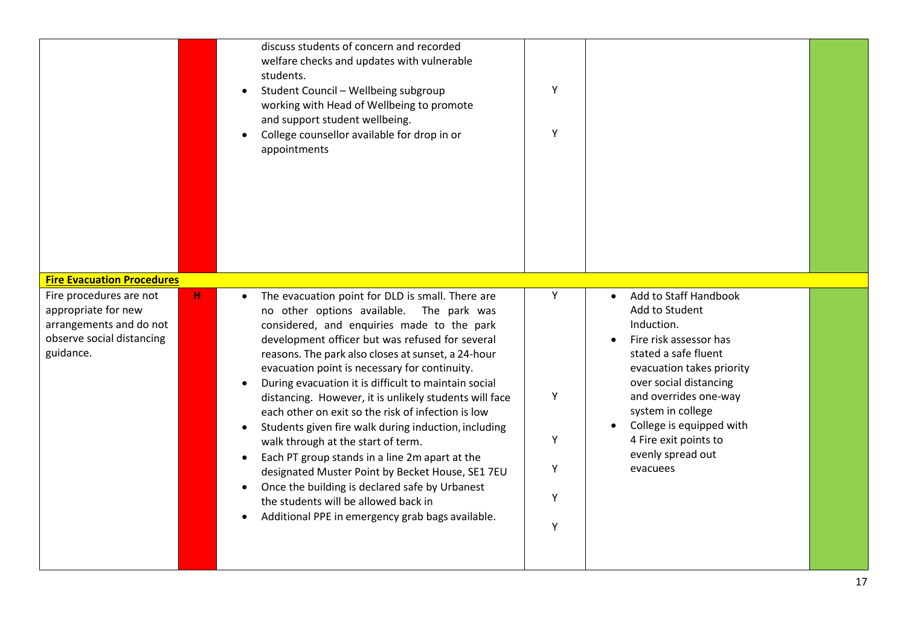|                                                                                                                                                          |   | discuss students of concern and recorded<br>welfare checks and updates with vulnerable<br>students.<br>Student Council - Wellbeing subgroup<br>working with Head of Wellbeing to promote<br>and support student wellbeing.<br>College counsellor available for drop in or<br>appointments                                                                                                                                                                                                                                                                                                                                                                                                                                                                                                                                      | Υ<br>Υ                     |                                                                                                                                                                                                                                                                                                                 |  |
|----------------------------------------------------------------------------------------------------------------------------------------------------------|---|--------------------------------------------------------------------------------------------------------------------------------------------------------------------------------------------------------------------------------------------------------------------------------------------------------------------------------------------------------------------------------------------------------------------------------------------------------------------------------------------------------------------------------------------------------------------------------------------------------------------------------------------------------------------------------------------------------------------------------------------------------------------------------------------------------------------------------|----------------------------|-----------------------------------------------------------------------------------------------------------------------------------------------------------------------------------------------------------------------------------------------------------------------------------------------------------------|--|
| <b>Fire Evacuation Procedures</b><br>Fire procedures are not<br>appropriate for new<br>arrangements and do not<br>observe social distancing<br>guidance. | н | The evacuation point for DLD is small. There are<br>no other options available. The park was<br>considered, and enquiries made to the park<br>development officer but was refused for several<br>reasons. The park also closes at sunset, a 24-hour<br>evacuation point is necessary for continuity.<br>During evacuation it is difficult to maintain social<br>distancing. However, it is unlikely students will face<br>each other on exit so the risk of infection is low<br>Students given fire walk during induction, including<br>walk through at the start of term.<br>Each PT group stands in a line 2m apart at the<br>designated Muster Point by Becket House, SE1 7EU<br>Once the building is declared safe by Urbanest<br>the students will be allowed back in<br>Additional PPE in emergency grab bags available. | Υ<br>Y<br>Υ<br>Υ<br>Y<br>Υ | Add to Staff Handbook<br>$\bullet$<br>Add to Student<br>Induction.<br>Fire risk assessor has<br>stated a safe fluent<br>evacuation takes priority<br>over social distancing<br>and overrides one-way<br>system in college<br>College is equipped with<br>4 Fire exit points to<br>evenly spread out<br>evacuees |  |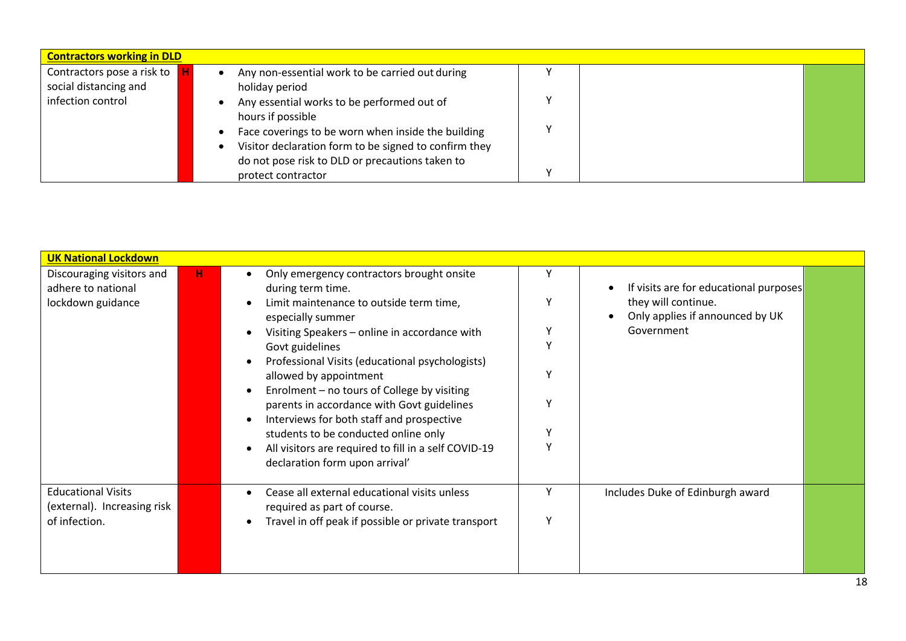| <b>Contractors working in DLD</b> |                                                       |   |  |
|-----------------------------------|-------------------------------------------------------|---|--|
| Contractors pose a risk to        | Any non-essential work to be carried out during       |   |  |
| social distancing and             | holiday period                                        |   |  |
| infection control                 | Any essential works to be performed out of            |   |  |
|                                   | hours if possible                                     |   |  |
|                                   | Face coverings to be worn when inside the building    |   |  |
|                                   | Visitor declaration form to be signed to confirm they |   |  |
|                                   | do not pose risk to DLD or precautions taken to       |   |  |
|                                   | protect contractor                                    | v |  |

| <b>UK National Lockdown</b>                                          |    |                                                                                                                                |        |                                                                                                  |
|----------------------------------------------------------------------|----|--------------------------------------------------------------------------------------------------------------------------------|--------|--------------------------------------------------------------------------------------------------|
| Discouraging visitors and<br>adhere to national<br>lockdown guidance | H. | Only emergency contractors brought onsite<br>during term time.<br>Limit maintenance to outside term time,<br>especially summer | Υ<br>Y | If visits are for educational purposes<br>they will continue.<br>Only applies if announced by UK |
|                                                                      |    | Visiting Speakers - online in accordance with<br>Govt guidelines<br>Professional Visits (educational psychologists)            | Υ<br>Υ | Government                                                                                       |
|                                                                      |    | allowed by appointment<br>Enrolment - no tours of College by visiting                                                          | ٧      |                                                                                                  |
|                                                                      |    | parents in accordance with Govt guidelines<br>Interviews for both staff and prospective                                        | Υ      |                                                                                                  |
|                                                                      |    | students to be conducted online only                                                                                           | Y      |                                                                                                  |
|                                                                      |    | All visitors are required to fill in a self COVID-19<br>declaration form upon arrival'                                         | Y      |                                                                                                  |
| <b>Educational Visits</b><br>(external). Increasing risk             |    | Cease all external educational visits unless<br>required as part of course.                                                    | Υ      | Includes Duke of Edinburgh award                                                                 |
| of infection.                                                        |    | Travel in off peak if possible or private transport                                                                            | Υ      |                                                                                                  |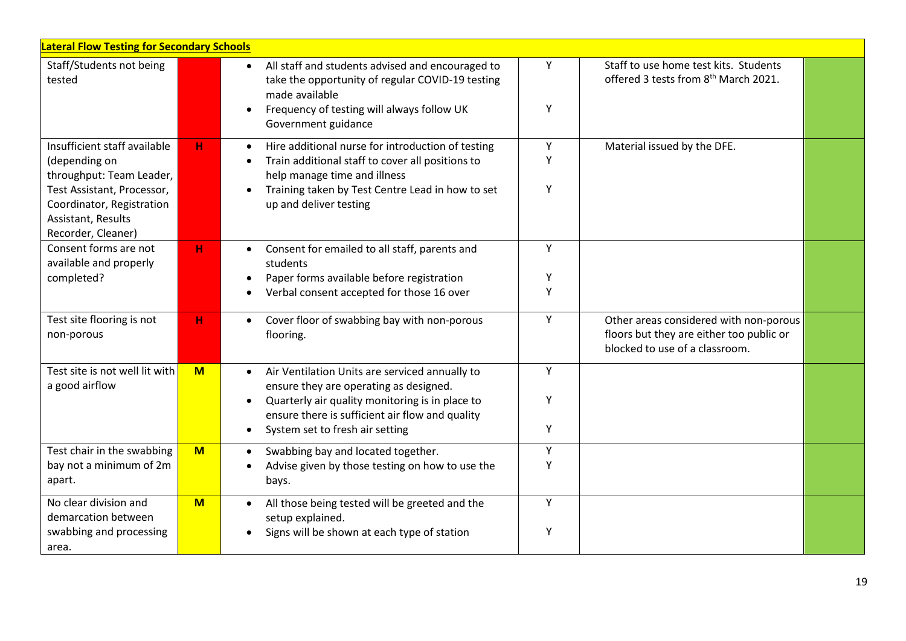| <b>Lateral Flow Testing for Secondary Schools</b>                                                                                    |     |                                                                                                                                                                                                                                                             |             |                                                                                                                      |  |  |
|--------------------------------------------------------------------------------------------------------------------------------------|-----|-------------------------------------------------------------------------------------------------------------------------------------------------------------------------------------------------------------------------------------------------------------|-------------|----------------------------------------------------------------------------------------------------------------------|--|--|
| Staff/Students not being<br>tested                                                                                                   |     | All staff and students advised and encouraged to<br>$\bullet$<br>take the opportunity of regular COVID-19 testing<br>made available<br>Frequency of testing will always follow UK<br>Government guidance                                                    | Y<br>Υ      | Staff to use home test kits. Students<br>offered 3 tests from 8 <sup>th</sup> March 2021.                            |  |  |
| Insufficient staff available<br>(depending on<br>throughput: Team Leader,<br>Test Assistant, Processor,<br>Coordinator, Registration | н   | Hire additional nurse for introduction of testing<br>Train additional staff to cover all positions to<br>help manage time and illness<br>Training taken by Test Centre Lead in how to set<br>up and deliver testing                                         | Y<br>Y<br>Υ | Material issued by the DFE.                                                                                          |  |  |
| Assistant, Results<br>Recorder, Cleaner)                                                                                             |     |                                                                                                                                                                                                                                                             |             |                                                                                                                      |  |  |
| Consent forms are not<br>available and properly<br>completed?                                                                        | н   | Consent for emailed to all staff, parents and<br>students<br>Paper forms available before registration<br>Verbal consent accepted for those 16 over                                                                                                         | Y<br>Y<br>Υ |                                                                                                                      |  |  |
| Test site flooring is not<br>non-porous                                                                                              | н   | Cover floor of swabbing bay with non-porous<br>$\bullet$<br>flooring.                                                                                                                                                                                       | Y           | Other areas considered with non-porous<br>floors but they are either too public or<br>blocked to use of a classroom. |  |  |
| Test site is not well lit with<br>a good airflow                                                                                     | $M$ | Air Ventilation Units are serviced annually to<br>$\bullet$<br>ensure they are operating as designed.<br>Quarterly air quality monitoring is in place to<br>ensure there is sufficient air flow and quality<br>System set to fresh air setting<br>$\bullet$ | Y<br>Y<br>Υ |                                                                                                                      |  |  |
| Test chair in the swabbing<br>bay not a minimum of 2m<br>apart.                                                                      | M   | Swabbing bay and located together.<br>$\bullet$<br>Advise given by those testing on how to use the<br>bays.                                                                                                                                                 | Υ<br>Υ      |                                                                                                                      |  |  |
| No clear division and<br>demarcation between<br>swabbing and processing<br>area.                                                     | $M$ | All those being tested will be greeted and the<br>$\bullet$<br>setup explained.<br>Signs will be shown at each type of station                                                                                                                              | Y<br>Υ      |                                                                                                                      |  |  |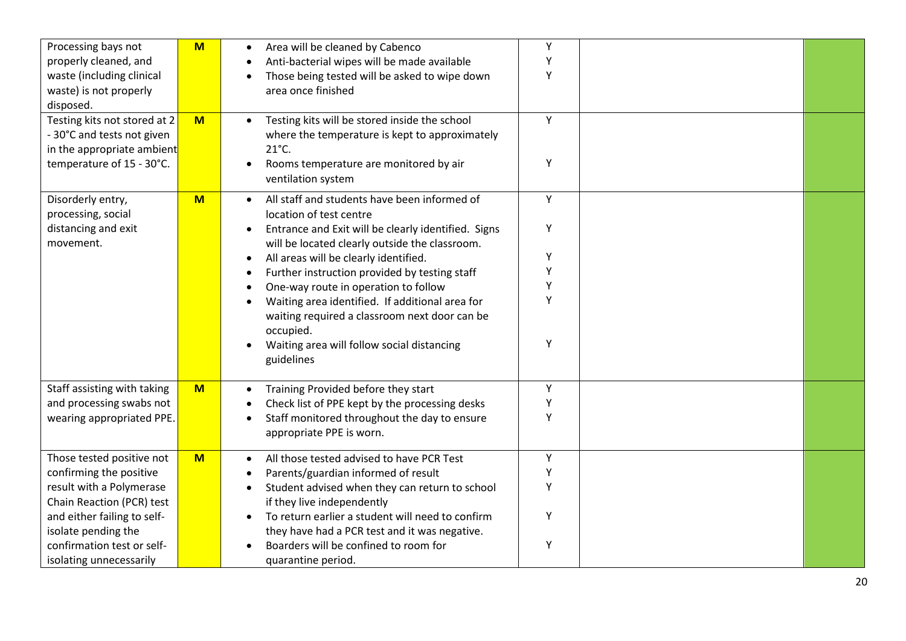| Processing bays not<br>properly cleaned, and<br>waste (including clinical<br>waste) is not properly<br>disposed.<br>Testing kits not stored at 2<br>- 30°C and tests not given<br>in the appropriate ambient<br>temperature of 15 - 30°C. | $M$<br>M | Area will be cleaned by Cabenco<br>Anti-bacterial wipes will be made available<br>Those being tested will be asked to wipe down<br>$\bullet$<br>area once finished<br>Testing kits will be stored inside the school<br>$\bullet$<br>where the temperature is kept to approximately<br>$21^{\circ}$ C.<br>Rooms temperature are monitored by air<br>$\bullet$<br>ventilation system                                                                                                                                             | Υ<br>Υ<br>Υ<br>Υ<br>Υ           |  |
|-------------------------------------------------------------------------------------------------------------------------------------------------------------------------------------------------------------------------------------------|----------|--------------------------------------------------------------------------------------------------------------------------------------------------------------------------------------------------------------------------------------------------------------------------------------------------------------------------------------------------------------------------------------------------------------------------------------------------------------------------------------------------------------------------------|---------------------------------|--|
| Disorderly entry,<br>processing, social<br>distancing and exit<br>movement.                                                                                                                                                               | $M$      | All staff and students have been informed of<br>$\bullet$<br>location of test centre<br>Entrance and Exit will be clearly identified. Signs<br>$\bullet$<br>will be located clearly outside the classroom.<br>All areas will be clearly identified.<br>٠<br>Further instruction provided by testing staff<br>One-way route in operation to follow<br>Waiting area identified. If additional area for<br>waiting required a classroom next door can be<br>occupied.<br>Waiting area will follow social distancing<br>guidelines | Y<br>Υ<br>Υ<br>Υ<br>Υ<br>Y<br>Υ |  |
| Staff assisting with taking<br>and processing swabs not<br>wearing appropriated PPE.                                                                                                                                                      | M        | Training Provided before they start<br>$\bullet$<br>Check list of PPE kept by the processing desks<br>$\bullet$<br>Staff monitored throughout the day to ensure<br>$\bullet$<br>appropriate PPE is worn.                                                                                                                                                                                                                                                                                                                       | Υ<br>Υ<br>Υ                     |  |
| Those tested positive not<br>confirming the positive<br>result with a Polymerase<br>Chain Reaction (PCR) test<br>and either failing to self-<br>isolate pending the<br>confirmation test or self-<br>isolating unnecessarily              | $M$      | All those tested advised to have PCR Test<br>$\bullet$<br>Parents/guardian informed of result<br>Student advised when they can return to school<br>$\bullet$<br>if they live independently<br>To return earlier a student will need to confirm<br>$\bullet$<br>they have had a PCR test and it was negative.<br>Boarders will be confined to room for<br>quarantine period.                                                                                                                                                    | Υ<br>Υ<br>Υ<br>Υ<br>Υ           |  |